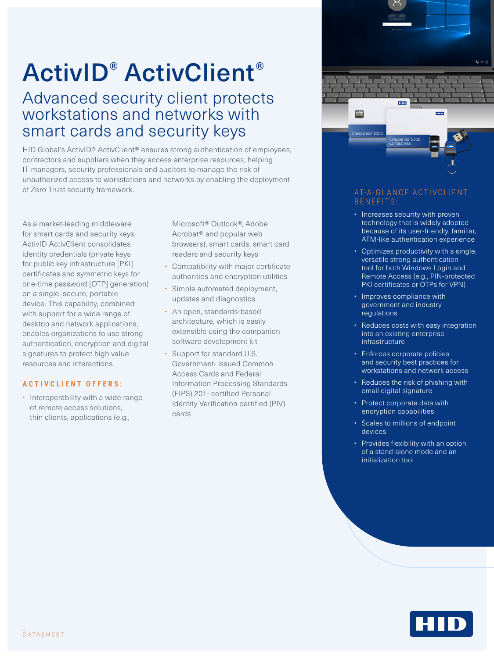# ActivID® ActivClient®

### Advanced security client protects workstations and networks with smart cards and security keys

HID Global's ActivID® ActivClient® ensures strong authentication of employees, contractors and suppliers when they access enterprise resources, helping IT managers, security professionals and auditors to manage the risk of unauthorized access to workstations and networks by enabling the deployment of Zero Trust security framework. At a security framework. At a security framework.

As a market-leading middleware for smart cards and security keys, ActivID ActivClient consolidates identity credentials (private keys for public key infrastructure [PKI] certificates and symmetric keys for one-time password [OTP] generation) on a single, secure, portable device. This capability, combined with support for a wide range of desktop and network applications, enables organizations to use strong authentication, encryption and digital signatures to protect high value resources and interactions.

#### **ACTIVCLIENT OFFERS:**

• Interoperability with a wide range of remote access solutions, thin clients, applications (e.g.,

Microsoft® Outlook®, Adobe Acrobat® and popular web browsers), smart cards, smart card readers and security keys

- Compatibility with major certificate authorities and encryption utilities
- Simple automated deployment, updates and diagnostics
- An open, standards-based architecture, which is easily extensible using the companion software development kit
- Support for standard U.S. Government- issued Common Access Cards and Federal Information Processing Standards (FIPS) 201- certified Personal Identity Verification certified (PIV) cards



## BENEFITS:

- Increases security with proven technology that is widely adopted because of its user-friendly, familiar, ATM-like authentication experience
- Optimizes productivity with a single, versatile strong authentication tool for both Windows Login and Remote Access (e.g., PIN-protected PKI certificates or OTPs for VPN)
- Improves compliance with government and industry regulations
- Reduces costs with easy integration into an existing enterprise infrastructure
- Enforces corporate policies and security best practices for workstations and network access
- Reduces the risk of phishing with email digital signature
- Protect corporate data with encryption capabilities
- Scales to millions of endpoint devices
- Provides flexibility with an option of a stand-alone mode and an initialization tool

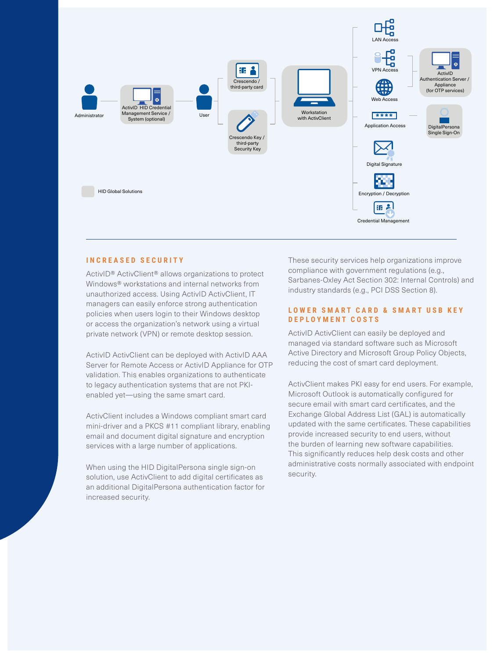

#### **INCREASED SECURITY**

ActivID® ActivClient® allows organizations to protect Windows® workstations and internal networks from unauthorized access. Using ActivID ActivClient, IT managers can easily enforce strong authentication policies when users login to their Windows desktop or access the organization's network using a virtual private network (VPN) or remote desktop session.

ActivID ActivClient can be deployed with ActivID AAA Server for Remote Access or ActivID Appliance for OTP validation. This enables organizations to authenticate to legacy authentication systems that are not PKIenabled yet—using the same smart card.

ActivClient includes a Windows compliant smart card mini-driver and a PKCS #11 compliant library, enabling email and document digital signature and encryption services with a large number of applications.

When using the HID DigitalPersona single sign-on solution, use ActivClient to add digital certificates as an additional DigitalPersona authentication factor for increased security.

These security services help organizations improve compliance with government regulations (e.g., Sarbanes-Oxley Act Section 302: Internal Controls) and industry standards (e.g., PCI DSS Section 8).

#### LOWER SMART CARD & SMART USB KEY **DEPLOYMENT COSTS**

ActivID ActivClient can easily be deployed and managed via standard software such as Microsoft Active Directory and Microsoft Group Policy Objects, reducing the cost of smart card deployment.

ActivClient makes PKI easy for end users. For example, Microsoft Outlook is automatically configured for secure email with smart card certificates, and the Exchange Global Address List (GAL) is automatically updated with the same certificates. These capabilities provide increased security to end users, without the burden of learning new software capabilities. This significantly reduces help desk costs and other administrative costs normally associated with endpoint security.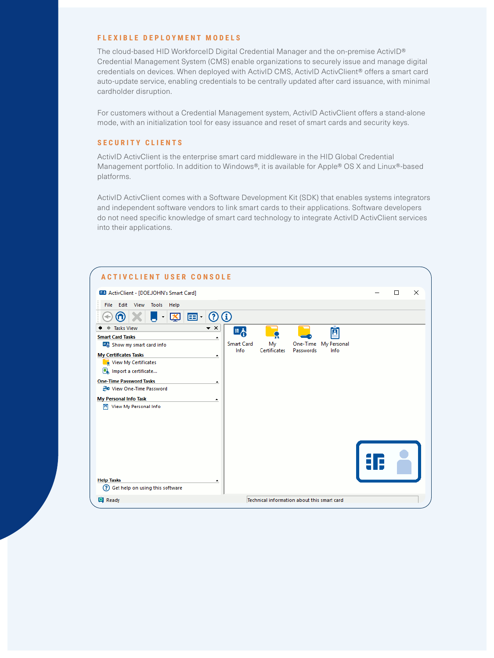#### **FLEXIBLE DEPLOYMENT MODELS**

The cloud-based HID WorkforceID Digital Credential Manager and the on-premise ActivID® Credential Management System (CMS) enable organizations to securely issue and manage digital credentials on devices. When deployed with ActivID CMS, ActivID ActivClient® offers a smart card auto-update service, enabling credentials to be centrally updated after card issuance, with minimal cardholder disruption.

For customers without a Credential Management system, ActivID ActivClient offers a stand-alone mode, with an initialization tool for easy issuance and reset of smart cards and security keys.

#### **SECURITY CLIENTS**

ActivID ActivClient is the enterprise smart card middleware in the HID Global Credential Management portfolio. In addition to Windows®, it is available for Apple® OS X and Linux®-based platforms.

ActivID ActivClient comes with a Software Development Kit (SDK) that enables systems integrators and independent software vendors to link smart cards to their applications. Software developers do not need specific knowledge of smart card technology to integrate ActivID ActivClient services into their applications.

| <b>ACTIVCLIENT USER CONSOLE</b>                           |                    |                           |                                             |                       |                     |   |          |
|-----------------------------------------------------------|--------------------|---------------------------|---------------------------------------------|-----------------------|---------------------|---|----------|
| ED ActivClient - [DOE.JOHN's Smart Card]                  |                    |                           |                                             |                       |                     | П | $\times$ |
| Edit View Tools Help<br>File                              |                    |                           |                                             |                       |                     |   |          |
| 図<br>国土<br>$\overline{\phantom{0}}$<br>ω                  | $\odot$ $\odot$    |                           |                                             |                       |                     |   |          |
| <b>Tasks View</b>                                         | $\bullet$ $\times$ | 또신                        |                                             |                       | Ħ                   |   |          |
| <b>Smart Card Tasks</b>                                   | $\blacktriangle$   |                           |                                             |                       |                     |   |          |
| Show my smart card info                                   |                    | <b>Smart Card</b><br>Info | My<br>Certificates                          | One-Time<br>Passwords | My Personal<br>Info |   |          |
| <b>My Certificates Tasks</b>                              | ٠                  |                           |                                             |                       |                     |   |          |
| View My Certificates                                      |                    |                           |                                             |                       |                     |   |          |
| Import a certificate                                      |                    |                           |                                             |                       |                     |   |          |
| <b>One-Time Password Tasks</b>                            | ٠                  |                           |                                             |                       |                     |   |          |
| 글 View One-Time Password                                  |                    |                           |                                             |                       |                     |   |          |
| <b>My Personal Info Task</b>                              | ٠                  |                           |                                             |                       |                     |   |          |
| View My Personal Info<br>m                                |                    |                           |                                             |                       |                     |   |          |
|                                                           |                    |                           |                                             |                       |                     |   |          |
|                                                           |                    |                           |                                             |                       |                     |   |          |
|                                                           |                    |                           |                                             |                       |                     |   |          |
|                                                           |                    |                           |                                             |                       |                     |   |          |
|                                                           |                    |                           |                                             |                       |                     |   |          |
|                                                           |                    |                           |                                             |                       |                     |   |          |
|                                                           |                    |                           |                                             |                       |                     |   |          |
|                                                           |                    |                           |                                             |                       |                     |   |          |
| <b>Help Tasks</b><br>൚<br>Get help on using this software | $\blacktriangle$   |                           |                                             |                       |                     |   |          |
|                                                           |                    |                           |                                             |                       |                     |   |          |
| <b>P</b> Ready                                            |                    |                           | Technical information about this smart card |                       |                     |   |          |
|                                                           |                    |                           |                                             |                       |                     |   |          |